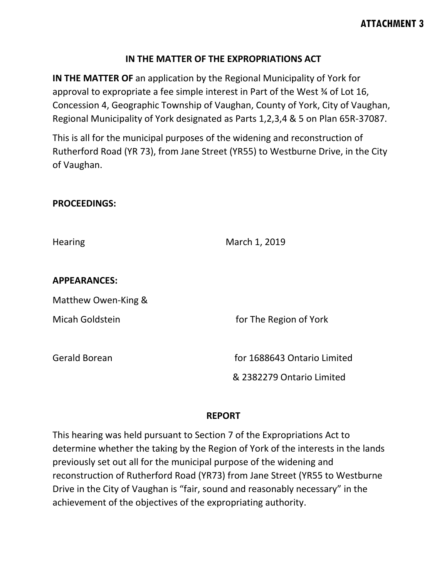### **IN THE MATTER OF THE EXPROPRIATIONS ACT**

**IN THE MATTER OF** an application by the Regional Municipality of York for approval to expropriate a fee simple interest in Part of the West ¾ of Lot 16, Concession 4, Geographic Township of Vaughan, County of York, City of Vaughan, Regional Municipality of York designated as Parts 1,2,3,4 & 5 on Plan 65R-37087.

This is all for the municipal purposes of the widening and reconstruction of Rutherford Road (YR 73), from Jane Street (YR55) to Westburne Drive, in the City of Vaughan.

#### **PROCEEDINGS:**

| <b>Hearing</b>       | March 1, 2019                                            |
|----------------------|----------------------------------------------------------|
| <b>APPEARANCES:</b>  |                                                          |
| Matthew Owen-King &  |                                                          |
| Micah Goldstein      | for The Region of York                                   |
| <b>Gerald Borean</b> | for 1688643 Ontario Limited<br>& 2382279 Ontario Limited |

#### **REPORT**

This hearing was held pursuant to Section 7 of the Expropriations Act to determine whether the taking by the Region of York of the interests in the lands previously set out all for the municipal purpose of the widening and reconstruction of Rutherford Road (YR73) from Jane Street (YR55 to Westburne Drive in the City of Vaughan is "fair, sound and reasonably necessary" in the achievement of the objectives of the expropriating authority.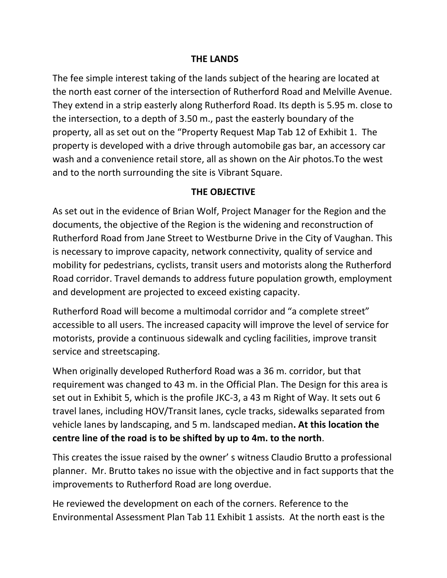### **THE LANDS**

The fee simple interest taking of the lands subject of the hearing are located at the north east corner of the intersection of Rutherford Road and Melville Avenue. They extend in a strip easterly along Rutherford Road. Its depth is 5.95 m. close to the intersection, to a depth of 3.50 m., past the easterly boundary of the property, all as set out on the "Property Request Map Tab 12 of Exhibit 1. The property is developed with a drive through automobile gas bar, an accessory car wash and a convenience retail store, all as shown on the Air photos.To the west and to the north surrounding the site is Vibrant Square.

### **THE OBJECTIVE**

As set out in the evidence of Brian Wolf, Project Manager for the Region and the documents, the objective of the Region is the widening and reconstruction of Rutherford Road from Jane Street to Westburne Drive in the City of Vaughan. This is necessary to improve capacity, network connectivity, quality of service and mobility for pedestrians, cyclists, transit users and motorists along the Rutherford Road corridor. Travel demands to address future population growth, employment and development are projected to exceed existing capacity.

Rutherford Road will become a multimodal corridor and "a complete street" accessible to all users. The increased capacity will improve the level of service for motorists, provide a continuous sidewalk and cycling facilities, improve transit service and streetscaping.

When originally developed Rutherford Road was a 36 m. corridor, but that requirement was changed to 43 m. in the Official Plan. The Design for this area is set out in Exhibit 5, which is the profile JKC-3, a 43 m Right of Way. It sets out 6 travel lanes, including HOV/Transit lanes, cycle tracks, sidewalks separated from vehicle lanes by landscaping, and 5 m. landscaped median**. At this location the centre line of the road is to be shifted by up to 4m. to the north**.

This creates the issue raised by the owner' s witness Claudio Brutto a professional planner. Mr. Brutto takes no issue with the objective and in fact supports that the improvements to Rutherford Road are long overdue.

He reviewed the development on each of the corners. Reference to the Environmental Assessment Plan Tab 11 Exhibit 1 assists. At the north east is the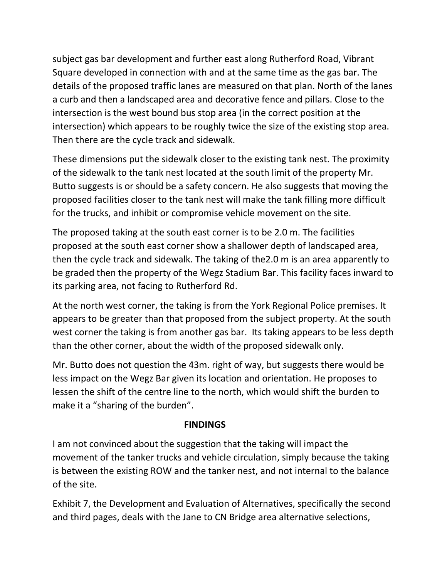subject gas bar development and further east along Rutherford Road, Vibrant Square developed in connection with and at the same time as the gas bar. The details of the proposed traffic lanes are measured on that plan. North of the lanes a curb and then a landscaped area and decorative fence and pillars. Close to the intersection is the west bound bus stop area (in the correct position at the intersection) which appears to be roughly twice the size of the existing stop area. Then there are the cycle track and sidewalk.

These dimensions put the sidewalk closer to the existing tank nest. The proximity of the sidewalk to the tank nest located at the south limit of the property Mr. Butto suggests is or should be a safety concern. He also suggests that moving the proposed facilities closer to the tank nest will make the tank filling more difficult for the trucks, and inhibit or compromise vehicle movement on the site.

The proposed taking at the south east corner is to be 2.0 m. The facilities proposed at the south east corner show a shallower depth of landscaped area, then the cycle track and sidewalk. The taking of the2.0 m is an area apparently to be graded then the property of the Wegz Stadium Bar. This facility faces inward to its parking area, not facing to Rutherford Rd.

At the north west corner, the taking is from the York Regional Police premises. It appears to be greater than that proposed from the subject property. At the south west corner the taking is from another gas bar. Its taking appears to be less depth than the other corner, about the width of the proposed sidewalk only.

Mr. Butto does not question the 43m. right of way, but suggests there would be less impact on the Wegz Bar given its location and orientation. He proposes to lessen the shift of the centre line to the north, which would shift the burden to make it a "sharing of the burden".

# **FINDINGS**

I am not convinced about the suggestion that the taking will impact the movement of the tanker trucks and vehicle circulation, simply because the taking is between the existing ROW and the tanker nest, and not internal to the balance of the site.

Exhibit 7, the Development and Evaluation of Alternatives, specifically the second and third pages, deals with the Jane to CN Bridge area alternative selections,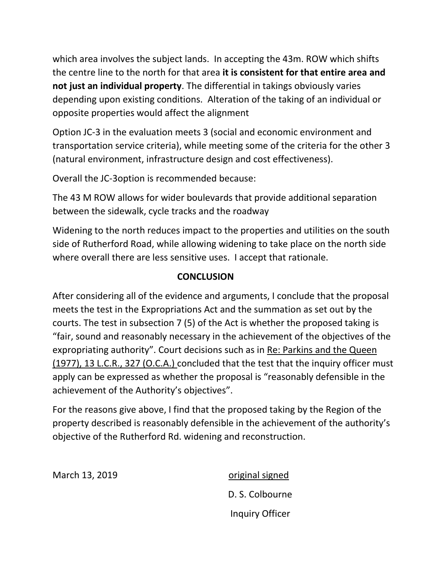which area involves the subject lands. In accepting the 43m. ROW which shifts the centre line to the north for that area **it is consistent for that entire area and not just an individual property**. The differential in takings obviously varies depending upon existing conditions. Alteration of the taking of an individual or opposite properties would affect the alignment

Option JC-3 in the evaluation meets 3 (social and economic environment and transportation service criteria), while meeting some of the criteria for the other 3 (natural environment, infrastructure design and cost effectiveness).

Overall the JC-3option is recommended because:

The 43 M ROW allows for wider boulevards that provide additional separation between the sidewalk, cycle tracks and the roadway

Widening to the north reduces impact to the properties and utilities on the south side of Rutherford Road, while allowing widening to take place on the north side where overall there are less sensitive uses. I accept that rationale.

# **CONCLUSION**

After considering all of the evidence and arguments, I conclude that the proposal meets the test in the Expropriations Act and the summation as set out by the courts. The test in subsection 7 (5) of the Act is whether the proposed taking is "fair, sound and reasonably necessary in the achievement of the objectives of the expropriating authority". Court decisions such as in Re: Parkins and the Queen (1977), 13 L.C.R., 327 (O.C.A.) concluded that the test that the inquiry officer must apply can be expressed as whether the proposal is "reasonably defensible in the achievement of the Authority's objectives".

For the reasons give above, I find that the proposed taking by the Region of the property described is reasonably defensible in the achievement of the authority's objective of the Rutherford Rd. widening and reconstruction.

March 13, 2019 **Canadian Strutter Control** original signed

D. S. Colbourne Inquiry Officer